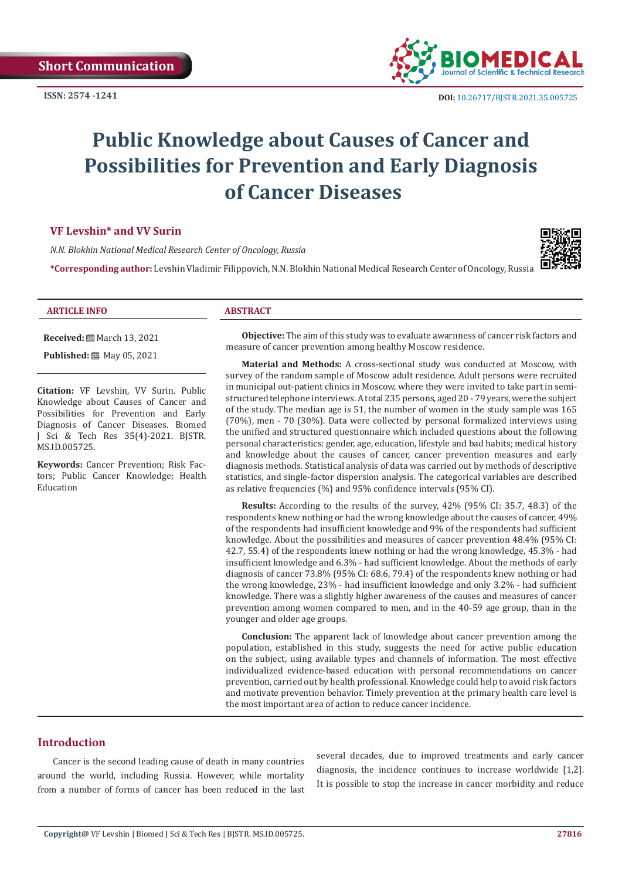

# **Public Knowledge about Causes of Cancer and Possibilities for Prevention and Early Diagnosis of Cancer Diseases**

### **VF Levshin\* and VV Surin**

*N.N. Blokhin National Medical Research Center of Oncology, Russia*

**\*Corresponding author:** Levshin Vladimir Filippovich, N.N. Blokhin National Medical Research Center of Oncology, Russia



#### **ARTICLE INFO ABSTRACT**

**Received:** March 13, 2021

**Published:** 圖 May 05, 2021

**Citation:** VF Levshin, VV Surin. Public Knowledge about Causes of Cancer and Possibilities for Prevention and Early Diagnosis of Cancer Diseases. Biomed J Sci & Tech Res 35(4)-2021. BJSTR. MS.ID.005725.

**Keywords:** Cancer Prevention; Risk Factors; Public Cancer Knowledge; Health Education

**Objective:** The aim of this study was to evaluate аwarпness of cancer risk factors and measure of cancer prevention among healthy Moscow residence.

**Material and Methods:** A cross-sectional study was conducted at Moscow, with survey of the random sample of Moscow adult residence. Adult persons were recruited in municipal оut-patient clinics in Moscow, where they were invited to take part in semistructured telephone interviews. A total 235 persons, aged 20 - 79 years, were the subject of the study. The median age is 51, the number of women in the study sample was 165 (70%), men - 70 (30%). Data were collected by personal formalized interviews using the unified and structured questionnaire which included questions about the following personal characteristics: gender, age, education, lifestyle and bad habits; medical history and knowledge about the causes of cancer, cancer prevention measures and early diagnosis methods. Statistical analysis of data was carried out by methods of descriptive statistics, and single-factor dispersion analysis. The categorical variables are described as relative frequencies (%) and 95% confidence intervals (95% CI).

**Results:** According to the results of the survey, 42% (95% CI: 35.7, 48.3) of the respondents knew nothing or had the wrong knowledge about the causes of cancer, 49% of the respondents had insufficient knowledge and 9% of the respondents had sufficient knowledge. About the possibilities and measures of cancer prevention 48.4% (95% CI: 42.7, 55.4) of the respondents knew nothing or had the wrong knowledge, 45.3% - had insufficient knowledge and 6.3% - had sufficient knowledge. About the methods of early diagnosis of cancer 73.8% (95% CI: 68.6, 79.4) of the respondents knew nothing or had the wrong knowledge, 23% - had insufficient knowledge and only 3.2% - had sufficient knowledge. There was a slightly higher awareness of the causes and measures of cancer prevention among women compared to men, and in the 40-59 age group, than in the younger and older age groups.

**Conclusion:** The apparent lack of knowledge about cancer prevention among the population, established in this study, suggests the need for active public education on the subject, using available types and channels of information. The most effective individualized evidence-based education with personal recommendations on cancer prevention, carried out by health professional. Knowledge could help to avoid risk factors and motivate prevention behavior. Timely prevention at the primary health care level is the most important area of action to reduce cancer incidence.

## **Introduction**

Cancer is the second leading cause of death in many countries around the world, including Russia. However, while mortality from a number of forms of cancer has been reduced in the last several decades, due to improved treatments and early cancer diagnosis, the incidence continues to increase worldwide [1,2]. It is possible to stop the increase in cancer morbidity and reduce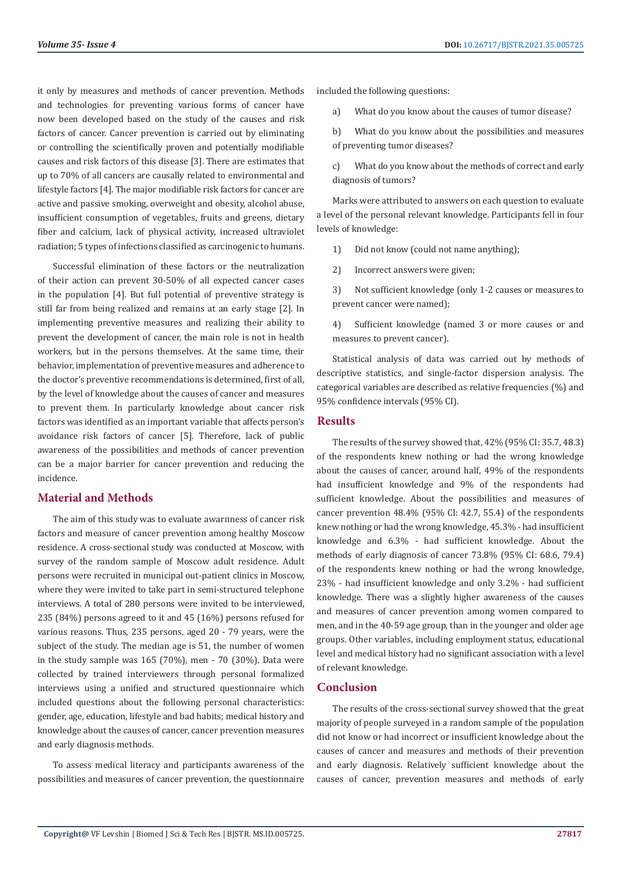it only by measures and methods of cancer prevention. Methods and technologies for preventing various forms of cancer have now been developed based on the study of the causes and risk factors of cancer. Cancer prevention is carried out by eliminating or controlling the scientifically proven and potentially modifiable causes and risk factors of this disease [3]. There are estimates that up to 70% of all cancers are causally related to environmental and lifestyle factors [4]. The major modifiable risk factors for cancer are active and passive smoking, overweight and obesity, alcohol abuse, insufficient consumption of vegetables, fruits and greens, dietary fiber and calcium, lack of physical activity, increased ultraviolet radiation; 5 types of infections classified as carcinogenic to humans.

Successful elimination of these factors or the neutralization of their action can prevent 30-50% of all expected cancer cases in the population [4]. But full potential of preventive strategy is still far from being realized and remains at an early stage [2]. In implementing preventive measures and realizing their ability to prevent the development of cancer, the main role is not in health workers, but in the persons themselves. At the same time, their behavior, implementation of preventive measures and adherence to the doctor's preventive recommendations is determined, first of all, by the level of knowledge about the causes of cancer and measures to prevent them. In particularly knowledge about cancer risk factors was identified as an important variable that affects person's avoidance risk factors of cancer [5]. Therefore, lack of public awareness of the possibilities and methods of cancer prevention can be a major barrier for cancer prevention and reducing the incidence.

## **Material and Methods**

The aim of this study was to evaluate аwarпness of cancer risk factors and measure of cancer prevention among healthy Moscow residence. A cross-sectional study was conducted at Moscow, with survey of the random sample of Moscow adult residence. Adult persons were recruited in municipal out-patient clinics in Moscow, where they were invited to take part in semi-structured telephone interviews. A total of 280 persons were invited to be interviewed, 235 (84%) persons agreed to it and 45 (16%) persons refused for various reasons. Thus, 235 persons, aged 20 - 79 years, were the subject of the study. The median age is 51, the number of women in the study sample was 165 (70%), men - 70 (30%). Data were collected by trained interviewers through personal formalized interviews using a unified and structured questionnaire which included questions about the following personal characteristics: gender, age, education, lifestyle and bad habits; medical history and knowledge about the causes of cancer, cancer prevention measures and early diagnosis methods.

To assess medical literacy and participants awareness of the possibilities and measures of cancer prevention, the questionnaire included the following questions:

a) What do you know about the causes of tumor disease?

b) What do you know about the possibilities and measures of preventing tumor diseases?

c) What do you know about the methods of correct and early diagnosis of tumors?

Marks were attributed to answers on each question to evaluate a level of the personal relevant knowledge. Participants fell in four levels of knowledge:

1) Did not know (could not name anything);

2) Incorrect answers were given;

3) Not sufficient knowledge (only 1-2 causes or measures to prevent cancer were named);

4) Sufficient knowledge (named 3 or more causes or and measures to prevent cancer).

Statistical analysis of data was carried out by methods of descriptive statistics, and single-factor dispersion analysis. The categorical variables are described as relative frequencies (%) and 95% confidence intervals (95% CI).

## **Results**

The results of the survey showed that, 42% (95% CI: 35.7, 48.3) of the respondents knew nothing or had the wrong knowledge about the causes of cancer, around half, 49% of the respondents had insufficient knowledge and 9% of the respondents had sufficient knowledge. About the possibilities and measures of cancer prevention 48.4% (95% CI: 42.7, 55.4) of the respondents knew nothing or had the wrong knowledge, 45.3% - had insufficient knowledge and 6.3% - had sufficient knowledge. About the methods of early diagnosis of cancer 73.8% (95% CI: 68.6, 79.4) of the respondents knew nothing or had the wrong knowledge, 23% - had insufficient knowledge and only 3.2% - had sufficient knowledge. There was a slightly higher awareness of the causes and measures of cancer prevention among women compared to men, and in the 40-59 age group, than in the younger and older age groups. Other variables, including employment status, educational level and medical history had no significant association with a level of relevant knowledge.

## **Conclusion**

The results of the cross-sectional survey showed that the great majority of people surveyed in a random sample of the population did not know or had incorrect or insufficient knowledge about the causes of cancer and measures and methods of their prevention and early diagnosis. Relatively sufficient knowledge about the causes of cancer, prevention measures and methods of early